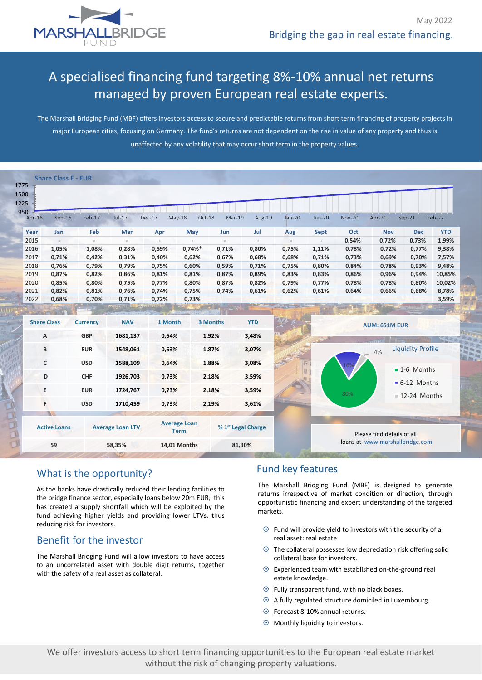

# A specialised financing fund targeting 8%-10% annual net returns managed by proven European real estate experts.

The Marshall Bridging Fund (MBF) offers investors access to secure and predictable returns from short term financing of property projects in major European cities, focusing on Germany. The fund's returns are not dependent on the rise in value of any property and thus is unaffected by any volatility that may occur short term in the property values.

| Feb-17<br>$Sep-16$<br>Feb<br>Jan<br>1,05%<br>1,08%<br>0,71%<br>0,42%<br>0,76%<br>0,79%<br>0,87%<br>0,82%<br>0,85%<br>0,80%<br>0,82%<br>0,81%<br>0,68%<br>0,70% | $Jul-17$<br>Mar<br>$\overline{\phantom{0}}$<br>0,28%<br>0,31%<br>0,79%<br>0,86%<br>0,75%<br>0,76%<br>0,71%<br><b>HALLYTEVALLE</b> | $Dec-17$<br>Apr<br>0,59%<br>0,40%<br>0,75%<br>0,81%<br>0,77%<br>0,74%<br>0,72% | $May-18$<br>Oct-18<br>May<br>0,74%<br>0,62%<br>0,60%<br>0,81%<br>0,80%<br>0,75% | Mar-19<br>Jun<br>$\overline{\phantom{a}}$<br>0,71%<br>0,67%<br>0,59%<br>0,87%<br>0,87%<br>0,74% | Aug-19<br>Jul<br>0,80%<br>0,68%<br>0,71%<br>0,89%<br>0,82% | $Jan-20$<br>Aug<br>$\overline{\phantom{a}}$<br>0,75%<br>0,68%<br>0,75%<br>0,83%<br>0,79% | <b>Jun-20</b><br><b>Sept</b><br>$\sim$<br>1,11%<br>0,71%<br>0,80%<br>0,83%<br>0,77% | <b>Nov-20</b><br>Oct<br>0,54%<br>0,78%<br>0,73%<br>0,84%<br>0,86%<br>0,78% | $Apr-21$<br><b>Nov</b><br>0,72%<br>0,72%<br>0,69%<br>0,78%<br>0,96%<br>0,78% | $Sep-21$<br><b>Dec</b><br>0,73%<br>0,77%<br>0,70%<br>0,93%<br>0,94% | Feb-22<br><b>YTD</b><br>1,99%<br>9,38%<br>7,57%<br>9,48%<br>10,85%                                                                                                      |
|----------------------------------------------------------------------------------------------------------------------------------------------------------------|-----------------------------------------------------------------------------------------------------------------------------------|--------------------------------------------------------------------------------|---------------------------------------------------------------------------------|-------------------------------------------------------------------------------------------------|------------------------------------------------------------|------------------------------------------------------------------------------------------|-------------------------------------------------------------------------------------|----------------------------------------------------------------------------|------------------------------------------------------------------------------|---------------------------------------------------------------------|-------------------------------------------------------------------------------------------------------------------------------------------------------------------------|
|                                                                                                                                                                |                                                                                                                                   |                                                                                |                                                                                 |                                                                                                 |                                                            |                                                                                          |                                                                                     |                                                                            |                                                                              |                                                                     |                                                                                                                                                                         |
|                                                                                                                                                                |                                                                                                                                   |                                                                                |                                                                                 |                                                                                                 |                                                            |                                                                                          |                                                                                     |                                                                            |                                                                              |                                                                     |                                                                                                                                                                         |
|                                                                                                                                                                |                                                                                                                                   |                                                                                |                                                                                 |                                                                                                 |                                                            |                                                                                          |                                                                                     |                                                                            |                                                                              |                                                                     |                                                                                                                                                                         |
|                                                                                                                                                                |                                                                                                                                   |                                                                                |                                                                                 |                                                                                                 |                                                            |                                                                                          |                                                                                     |                                                                            |                                                                              |                                                                     |                                                                                                                                                                         |
|                                                                                                                                                                |                                                                                                                                   |                                                                                |                                                                                 |                                                                                                 |                                                            |                                                                                          |                                                                                     |                                                                            |                                                                              |                                                                     |                                                                                                                                                                         |
|                                                                                                                                                                |                                                                                                                                   |                                                                                |                                                                                 |                                                                                                 |                                                            |                                                                                          |                                                                                     |                                                                            |                                                                              |                                                                     |                                                                                                                                                                         |
|                                                                                                                                                                |                                                                                                                                   |                                                                                |                                                                                 |                                                                                                 |                                                            |                                                                                          |                                                                                     |                                                                            |                                                                              |                                                                     |                                                                                                                                                                         |
|                                                                                                                                                                |                                                                                                                                   |                                                                                |                                                                                 |                                                                                                 |                                                            |                                                                                          |                                                                                     |                                                                            |                                                                              | 0,80%                                                               | 10,02%                                                                                                                                                                  |
|                                                                                                                                                                |                                                                                                                                   |                                                                                |                                                                                 |                                                                                                 | 0,61%                                                      | 0,62%                                                                                    | 0,61%                                                                               | 0,64%                                                                      | 0,66%                                                                        | 0,68%                                                               | 8,78%                                                                                                                                                                   |
|                                                                                                                                                                |                                                                                                                                   |                                                                                | 0,73%                                                                           |                                                                                                 |                                                            |                                                                                          |                                                                                     |                                                                            |                                                                              |                                                                     | 3,59%                                                                                                                                                                   |
| <b>NAV</b><br><b>Share Class</b><br>1 Month<br><b>Currency</b>                                                                                                 |                                                                                                                                   |                                                                                | <b>YTD</b><br>3 Months                                                          |                                                                                                 |                                                            | <b>AUM: 651M EUR</b>                                                                     |                                                                                     |                                                                            |                                                                              |                                                                     |                                                                                                                                                                         |
| <b>GBP</b>                                                                                                                                                     | 1681,137                                                                                                                          | 0,64%                                                                          |                                                                                 | 1,92%                                                                                           | 3,48%                                                      |                                                                                          |                                                                                     |                                                                            |                                                                              |                                                                     |                                                                                                                                                                         |
| <b>EUR</b>                                                                                                                                                     | 1548,061                                                                                                                          |                                                                                |                                                                                 |                                                                                                 | 3,07%                                                      |                                                                                          |                                                                                     |                                                                            | 4%                                                                           |                                                                     |                                                                                                                                                                         |
| <b>USD</b>                                                                                                                                                     | 1588,109                                                                                                                          |                                                                                |                                                                                 |                                                                                                 | 3,08%                                                      |                                                                                          |                                                                                     |                                                                            |                                                                              |                                                                     |                                                                                                                                                                         |
| <b>CHF</b>                                                                                                                                                     | 1926,703                                                                                                                          |                                                                                |                                                                                 |                                                                                                 | 3,59%                                                      |                                                                                          |                                                                                     |                                                                            |                                                                              |                                                                     |                                                                                                                                                                         |
|                                                                                                                                                                |                                                                                                                                   |                                                                                |                                                                                 |                                                                                                 |                                                            |                                                                                          |                                                                                     |                                                                            |                                                                              |                                                                     |                                                                                                                                                                         |
|                                                                                                                                                                |                                                                                                                                   |                                                                                |                                                                                 |                                                                                                 |                                                            |                                                                                          |                                                                                     | 80%                                                                        |                                                                              |                                                                     |                                                                                                                                                                         |
| <b>USD</b>                                                                                                                                                     | 1710,459                                                                                                                          |                                                                                |                                                                                 |                                                                                                 | 3,61%                                                      |                                                                                          |                                                                                     |                                                                            |                                                                              |                                                                     |                                                                                                                                                                         |
|                                                                                                                                                                |                                                                                                                                   |                                                                                |                                                                                 |                                                                                                 |                                                            |                                                                                          |                                                                                     |                                                                            |                                                                              |                                                                     |                                                                                                                                                                         |
| <b>Active Loans</b>                                                                                                                                            |                                                                                                                                   |                                                                                |                                                                                 |                                                                                                 |                                                            |                                                                                          |                                                                                     |                                                                            |                                                                              |                                                                     | <b>Taldares</b>                                                                                                                                                         |
|                                                                                                                                                                | <b>EUR</b>                                                                                                                        | 1724,767<br><b>Average Loan LTV</b>                                            |                                                                                 | 0,63%<br>0,64%<br>0,73%<br>0,73%<br>0,73%<br><b>Average Loan</b><br><b>Term</b>                 | 1,87%<br>1,88%<br>2,18%<br>2,18%<br>2,19%                  | 3,59%<br>% 1 <sup>st</sup> Legal Charge                                                  |                                                                                     | 58,35%<br><b>14,01 Months</b><br>81,30%                                    |                                                                              |                                                                     | <b>Liquidity Profile</b><br>$\blacksquare$ 1-6 Months<br>$-6-12$ Months<br>$\blacksquare$ 12-24 Months<br>Please find details of all<br>loans at www.marshallbridge.com |

### What is the opportunity?

As the banks have drastically reduced their lending facilities to the bridge finance sector, especially loans below 20m EUR, this has created a supply shortfall which will be exploited by the fund achieving higher yields and providing lower LTVs, thus reducing risk for investors.

### Benefit for the investor

The Marshall Bridging Fund will allow investors to have access to an uncorrelated asset with double digit returns, together with the safety of a real asset as collateral.

## Fund key features

The Marshall Bridging Fund (MBF) is designed to generate returns irrespective of market condition or direction, through opportunistic financing and expert understanding of the targeted markets.

- $\odot$  Fund will provide yield to investors with the security of a real asset: real estate
- The collateral possesses low depreciation risk offering solid collateral base for investors.
- Experienced team with established on-the-ground real estate knowledge.
- Fully transparent fund, with no black boxes.
- A fully regulated structure domiciled in Luxembourg.
- Forecast 8-10% annual returns.
- Monthly liquidity to investors.

We offer investors access to short term financing opportunities to the European real estate market without the risk of changing property valuations.